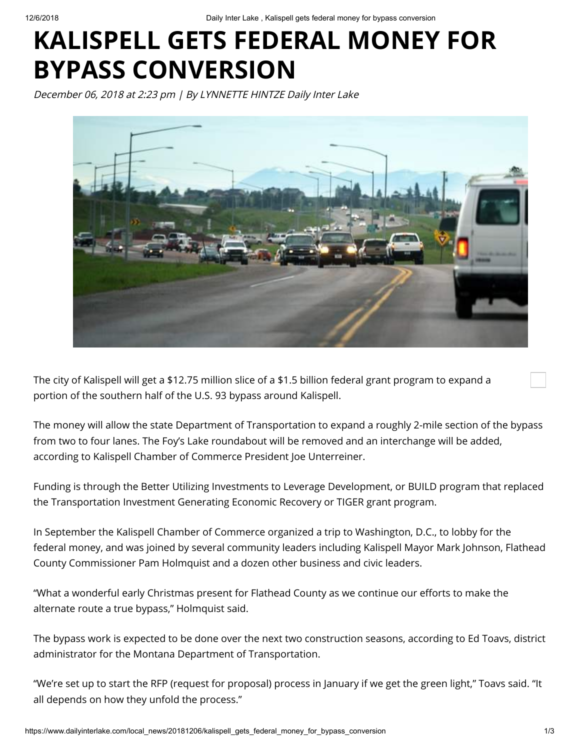12/6/2018 Daily Inter Lake , Kalispell gets federal money for bypass conversion

## **KALISPELL GETS FEDERAL MONEY FOR BYPASS CONVERSION**

December 06, 2018 at 2:23 pm | By LYNNETTE HINTZE Daily Inter Lake



The city of Kalispell will get a \$12.75 million slice of a \$1.5 billion federal grant program to expand a portion of the southern half of the U.S. 93 bypass around Kalispell.

The money will allow the state Department of Transportation to expand a roughly 2-mile section of the bypass from two to four lanes. The Foy's Lake roundabout will be removed and an interchange will be added, according to Kalispell Chamber of Commerce President Joe Unterreiner.

Funding is through the Better Utilizing Investments to Leverage Development, or BUILD program that replaced the Transportation Investment Generating Economic Recovery or TIGER grant program.

In September the Kalispell Chamber of Commerce organized a trip to Washington, D.C., to lobby for the federal money, and was joined by several community leaders including Kalispell Mayor Mark Johnson, Flathead County Commissioner Pam Holmquist and a dozen other business and civic leaders.

"What a wonderful early Christmas present for Flathead County as we continue our efforts to make the alternate route a true bypass," Holmquist said.

The bypass work is expected to be done over the next two construction seasons, according to Ed Toavs, district administrator for the Montana Department of Transportation.

"We're set up to start the RFP (request for proposal) process in January if we get the green light," Toavs said. "It all depends on how they unfold the process."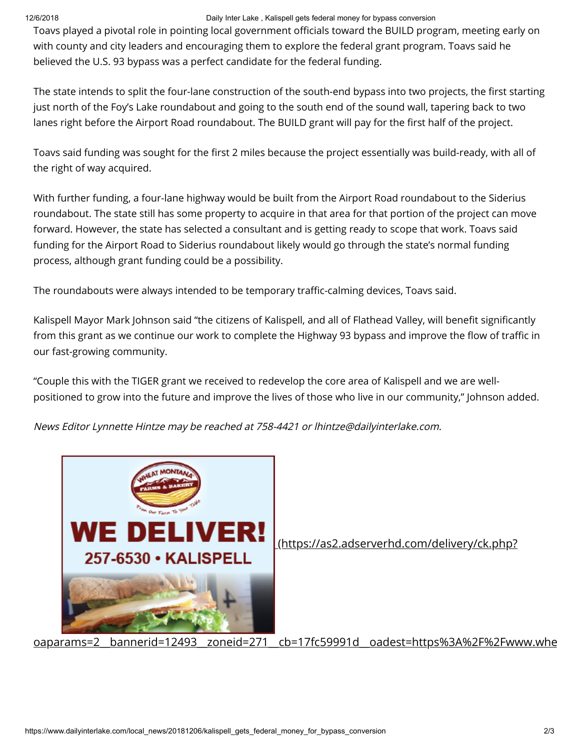## 12/6/2018 Daily Inter Lake , Kalispell gets federal money for bypass conversion

Toavs played a pivotal role in pointing local government officials toward the BUILD program, meeting early on with county and city leaders and encouraging them to explore the federal grant program. Toavs said he believed the U.S. 93 bypass was a perfect candidate for the federal funding.

The state intends to split the four-lane construction of the south-end bypass into two projects, the first starting just north of the Foy's Lake roundabout and going to the south end of the sound wall, tapering back to two lanes right before the Airport Road roundabout. The BUILD grant will pay for the first half of the project.

Toavs said funding was sought for the first 2 miles because the project essentially was build-ready, with all of the right of way acquired.

With further funding, a four-lane highway would be built from the Airport Road roundabout to the Siderius roundabout. The state still has some property to acquire in that area for that portion of the project can move forward. However, the state has selected a consultant and is getting ready to scope that work. Toavs said funding for the Airport Road to Siderius roundabout likely would go through the state's normal funding process, although grant funding could be a possibility.

The roundabouts were always intended to be temporary traffic-calming devices, Toavs said.

Kalispell Mayor Mark Johnson said "the citizens of Kalispell, and all of Flathead Valley, will benefit significantly from this grant as we continue our work to complete the Highway 93 bypass and improve the flow of traffic in our fast-growing community.

"Couple this with the TIGER grant we received to redevelop the core area of Kalispell and we are wellpositioned to grow into the future and improve the lives of those who live in our community," Johnson added.

News Editor Lynnette Hintze may be reached at 758-4421 or lhintze@dailyinterlake.com.



(https://as2.adserverhd.com/delivery/ck.php?

[oaparams=2\\_\\_bannerid=12493\\_\\_zoneid=271\\_\\_cb=17fc59991d\\_\\_oadest=https%3A%2F%2Fwww.whe](https://as2.adserverhd.com/delivery/ck.php?oaparams=2__bannerid=12493__zoneid=271__cb=17fc59991d__oadest=https%3A%2F%2Fwww.wheatmontanakalispell.com%2F)